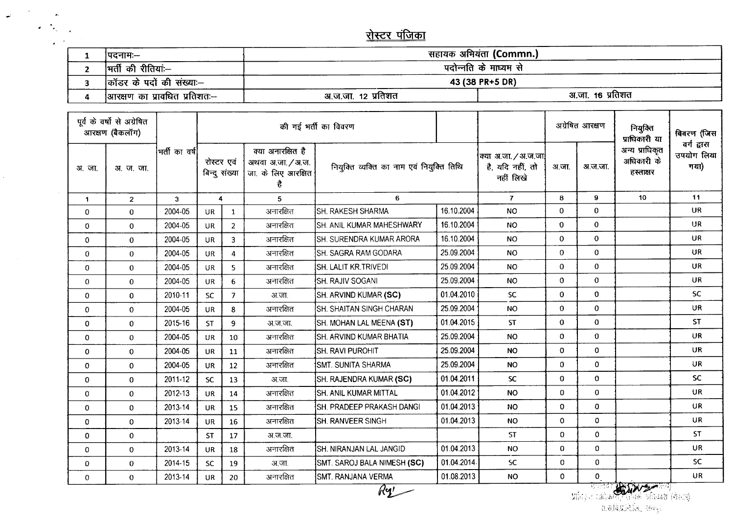<u>रोस्टर पंजिका</u>

 $\varphi^{\leftarrow}$ 

 $\mathcal{L}^{(1)}$ 

| ।पदनाम:—                     | सहायक अभियंता (Commn.) |                       |  |  |  |  |
|------------------------------|------------------------|-----------------------|--|--|--|--|
| न्ती की रीतियां:--           |                        | पदोन्नति के माध्यम से |  |  |  |  |
| कॉंडर के पदों की संख्याः–    | 43 (38 PR+5 DR)        |                       |  |  |  |  |
| आरक्षण का प्रावधित प्रतिशतः— | अ.ज.जा. 12 प्रतिशत     | अ.जा. 16 प्रतिशत      |  |  |  |  |

| पूर्व के वर्षो से अग्रेषित<br>आरक्षण (बैकलॉग) |                |               | की गई भर्ती का विवरण                             |                |           |                                  |                                                                    |                                           | अग्रेषित आरक्षण |                                                       | नियुक्ति<br>प्राधिकारी या                 | विवरण (जिस |                                           |                                   |
|-----------------------------------------------|----------------|---------------|--------------------------------------------------|----------------|-----------|----------------------------------|--------------------------------------------------------------------|-------------------------------------------|-----------------|-------------------------------------------------------|-------------------------------------------|------------|-------------------------------------------|-----------------------------------|
| अ.जा.                                         | <u>अजुला</u>   | भर्ती का वर्ष | रोस्टर एवं<br>बिन्दू संख्या<br>4<br>$\mathbf{3}$ |                |           |                                  | क्या अनारक्षित है<br>अथवा अ.जा. / अ.ज.<br>जा. के लिए आरक्षित<br>है | नियुक्ति व्यक्ति का नाम एवं नियुक्ति तिथि |                 | क्या अ.जा. / अ.ज.जा <br>है, यदि नहीं, तो<br>नहीं लिखे | अ.जा.                                     | अ.ज.जा.    | अन्य प्राधिकृत<br>अधिकारी के<br>हस्ताक्षर | वर्ग द्वारा<br>उपयोग लिया<br>गया) |
| $\mathbf{1}$                                  | $\overline{2}$ |               |                                                  |                | 5         | 6                                |                                                                    | $\overline{7}$                            | 8               | 9                                                     | 10                                        | 11         |                                           |                                   |
| $\mathbf 0$                                   | $\mathbf 0$    | 2004-05       | <b>UR</b>                                        | $\mathbf{1}$   | अनारक्षित | ISH. RAKESH SHARMA               | 16.10.2004                                                         | <b>NO</b>                                 | $\mathbf 0$     | $\Omega$                                              |                                           | <b>UR</b>  |                                           |                                   |
| $\mathbf 0$                                   | $\overline{0}$ | 2004-05       | <b>UR</b>                                        | $\overline{2}$ | अनारक्षित | SH. ANIL KUMAR MAHESHWARY        | 16.10.2004                                                         | <b>NO</b>                                 | $\bf{0}$        | 0                                                     |                                           | <b>UR</b>  |                                           |                                   |
| $\mathbf 0$                                   | $\mathbf 0$    | 2004-05       | UR                                               | $\overline{3}$ | अनारक्षित | <b>ISH. SURENDRA KUMAR ARORA</b> | 16.10.2004                                                         | NO.                                       | $\mathbf 0$     | 0                                                     |                                           | UR         |                                           |                                   |
| $\mathbf 0$                                   | $\overline{0}$ | 2004-05       | <b>UR</b>                                        | 4              | अनारक्षित | <b>SH. SAGRA RAM GODARA</b>      | 25.09.2004                                                         | <b>NO</b>                                 | $\mathbf{0}$    | $\mathbf{0}$                                          |                                           | UR         |                                           |                                   |
| $\Omega$                                      | $\mathbf 0$    | 2004-05       | <b>UR</b>                                        | 5              | अनारक्षित | <b>ISH. LALIT KR.TRIVEDI</b>     | 25.09.2004                                                         | <b>NO</b>                                 | $\Omega$        | 0                                                     |                                           | <b>UR</b>  |                                           |                                   |
| $\mathbf 0$                                   | $\mathbf 0$    | 2004-05       | <b>UR</b>                                        | 6              | अनारक्षित | <b>SH. RAJIV SOGANI</b>          | 25.09.2004                                                         | <b>NO</b>                                 | $\mathbf 0$     | $\mathbf 0$                                           |                                           | <b>UR</b>  |                                           |                                   |
| $\mathbf 0$                                   | $\mathbf 0$    | 2010-11       | <b>SC</b>                                        | $\overline{7}$ | अ.जा.     | SH. ARVIND KUMAR (SC)            | 01.04.2010                                                         | <b>SC</b>                                 | $\mathbf{0}$    | $\Omega$                                              |                                           | <b>SC</b>  |                                           |                                   |
| $\Omega$                                      | $\mathbf 0$    | 2004-05       | <b>UR</b>                                        | 8              | अनारक्षित | <b>SH. SHAITAN SINGH CHARAN</b>  | 25.09.2004                                                         | <b>NO</b>                                 | $\theta$        | $\mathbf{0}$                                          |                                           | UR         |                                           |                                   |
| $\Omega$                                      | $\mathbf{0}$   | 2015-16       | <b>ST</b>                                        | $\overline{9}$ | अ.ज.जा.   | SH. MOHAN LAL MEENA (ST)         | 01.04.2015                                                         | <b>ST</b>                                 | $\bf{0}$        | 0                                                     |                                           | <b>ST</b>  |                                           |                                   |
| $\mathbf 0$                                   | $\mathbf 0$    | 2004-05       | <b>UR</b>                                        | 10             | अनारक्षित | <b>SH. ARVIND KUMAR BHATIA</b>   | 25.09.2004                                                         | <b>NO</b>                                 | $\mathbf 0$     | $\mathbf{0}$                                          |                                           | UR         |                                           |                                   |
| $\mathbf 0$                                   | $\overline{0}$ | 2004-05       | <b>UR</b>                                        | 11             | अनारक्षित | <b>SH. RAVI PUROHIT</b>          | 25.09.2004                                                         | <b>NO</b>                                 | $\mathbf 0$     | $\Omega$                                              |                                           | UR         |                                           |                                   |
| $\Omega$                                      | $\Omega$       | 2004-05       | <b>UR</b>                                        | 12             | अनारक्षित | <b>ISMT. SUNITA SHARMA</b>       | 25.09.2004                                                         | <b>NO</b>                                 | $\theta$        | $\Omega$                                              |                                           | <b>UR</b>  |                                           |                                   |
| $\mathbf 0$                                   | $\overline{0}$ | 2011-12       | SC.                                              | 13             | अ.जा.     | SH. RAJENDRA KUMAR (SC)          | 01.04.2011                                                         | SC.                                       | $\mathbf 0$     | $\mathbf{O}$                                          |                                           | <b>SC</b>  |                                           |                                   |
| $\mathbf 0$                                   | $\mathbf 0$    | 2012-13       | <b>UR</b>                                        | 14             | अनारक्षित | SH. ANIL KUMAR MITTAL            | 01.04.2012                                                         | <b>NO</b>                                 | $\mathbf{0}$    | $\overline{0}$                                        |                                           | UR         |                                           |                                   |
| $\mathbf{0}$                                  | $\mathbf{0}$   | 2013-14       | <b>UR</b>                                        | 15             | अनारक्षित | SH. PRADEEP PRAKASH DANGI        | 01.04.2013                                                         | NO                                        | $\bf{0}$        | $\mathbf{0}$                                          |                                           | UR         |                                           |                                   |
| $\mathbf 0$                                   | $\mathbf{0}$   | 2013-14       | UR                                               | 16             | अनारक्षित | <b>SH. RANVEER SINGH</b>         | 01.04.2013                                                         | NO.                                       | $\overline{0}$  | $\mathbf{0}$                                          |                                           | UR         |                                           |                                   |
| 0                                             | 0              |               | <b>ST</b>                                        | 17             | अ.ज.जा.   |                                  |                                                                    | <b>ST</b>                                 | $\overline{0}$  | $\mathbf{0}$                                          |                                           | <b>ST</b>  |                                           |                                   |
| $\mathbf 0$                                   | 0              | 2013-14       | <b>UR</b>                                        | 18             | अनारक्षित | ISH. NIRANJAN LAL JANGID         | 01.04.2013                                                         | <b>NO</b>                                 | $\mathbf{0}$    | $\Omega$                                              |                                           | <b>UR</b>  |                                           |                                   |
| $\Omega$                                      | $\mathbf 0$    | 2014-15       | SC.                                              | 19             | अ.जा.     | SMT. SAROJ BALA NIMESH (SC)      | 01.04.2014                                                         | SC.                                       | 0               | $\mathbf{0}$                                          |                                           | SC.        |                                           |                                   |
| $\mathbf 0$                                   | $\overline{0}$ | 2013-14       | UR                                               | 20             | अनारक्षित | <b>SMT. RANJANA VERMA</b>        | 01.08.2013                                                         | <b>NO</b>                                 | $\overline{0}$  | $\mathbf{0}$                                          |                                           | <b>UR</b>  |                                           |                                   |
|                                               |                |               |                                                  |                |           | $R\mathbf{Y}'$                   |                                                                    |                                           |                 | ਤਮੁੰਦ<br>प्रांतवन आदेकरि                              | <b>COUNTY</b><br>सिपर्क अधिकारी (सेस्टर्) |            |                                           |                                   |

.: 1.'<T.t q.~~.*i':.~-\*1.,